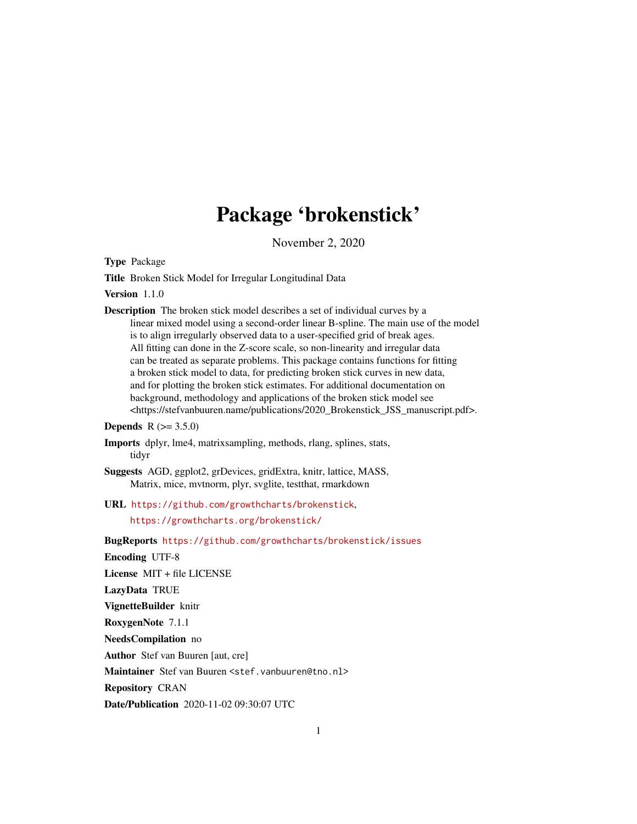# Package 'brokenstick'

November 2, 2020

<span id="page-0-0"></span>Type Package

Title Broken Stick Model for Irregular Longitudinal Data

Version 1.1.0

Description The broken stick model describes a set of individual curves by a linear mixed model using a second-order linear B-spline. The main use of the model is to align irregularly observed data to a user-specified grid of break ages. All fitting can done in the Z-score scale, so non-linearity and irregular data can be treated as separate problems. This package contains functions for fitting a broken stick model to data, for predicting broken stick curves in new data, and for plotting the broken stick estimates. For additional documentation on background, methodology and applications of the broken stick model see <https://stefvanbuuren.name/publications/2020\_Brokenstick\_JSS\_manuscript.pdf>.

**Depends**  $R (= 3.5.0)$ 

Imports dplyr, lme4, matrixsampling, methods, rlang, splines, stats, tidyr

Suggests AGD, ggplot2, grDevices, gridExtra, knitr, lattice, MASS, Matrix, mice, mvtnorm, plyr, svglite, testthat, rmarkdown

URL <https://github.com/growthcharts/brokenstick>,

<https://growthcharts.org/brokenstick/>

BugReports <https://github.com/growthcharts/brokenstick/issues>

Encoding UTF-8

License MIT + file LICENSE

LazyData TRUE

VignetteBuilder knitr

RoxygenNote 7.1.1

NeedsCompilation no

Author Stef van Buuren [aut, cre]

Maintainer Stef van Buuren <stef.vanbuuren@tno.nl>

Repository CRAN

Date/Publication 2020-11-02 09:30:07 UTC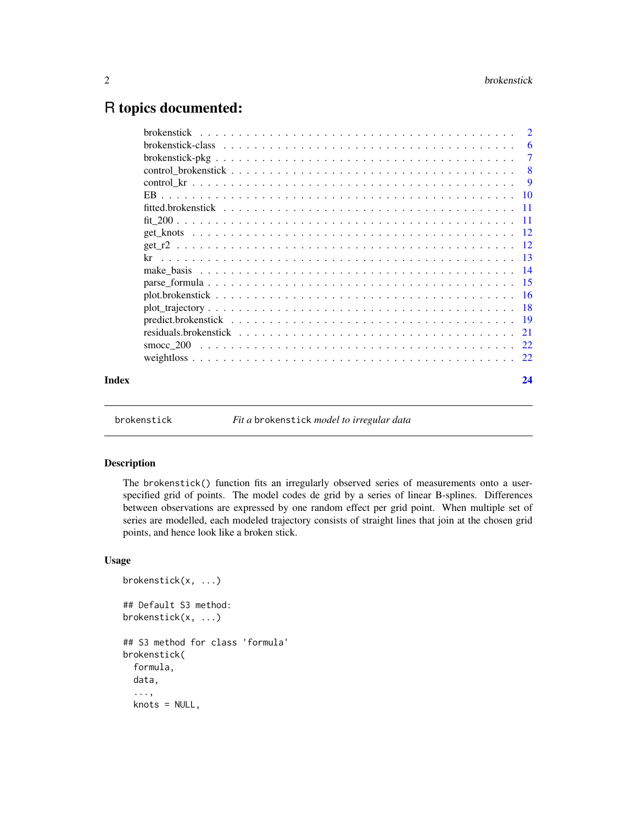# <span id="page-1-0"></span>R topics documented:

|       | -7 |
|-------|----|
|       |    |
|       |    |
|       |    |
|       |    |
|       |    |
|       |    |
|       |    |
|       |    |
|       |    |
|       |    |
|       |    |
|       |    |
|       |    |
|       |    |
|       |    |
|       |    |
| Index | 24 |
|       |    |

<span id="page-1-1"></span>

brokenstick *Fit a* brokenstick *model to irregular data*

# Description

The brokenstick() function fits an irregularly observed series of measurements onto a userspecified grid of points. The model codes de grid by a series of linear B-splines. Differences between observations are expressed by one random effect per grid point. When multiple set of series are modelled, each modeled trajectory consists of straight lines that join at the chosen grid points, and hence look like a broken stick.

# Usage

```
brokenstick(x, ...)
## Default S3 method:
brokenstick(x, ...)
## S3 method for class 'formula'
brokenstick(
  formula,
  data,
  ...,
  knots = NULL,
```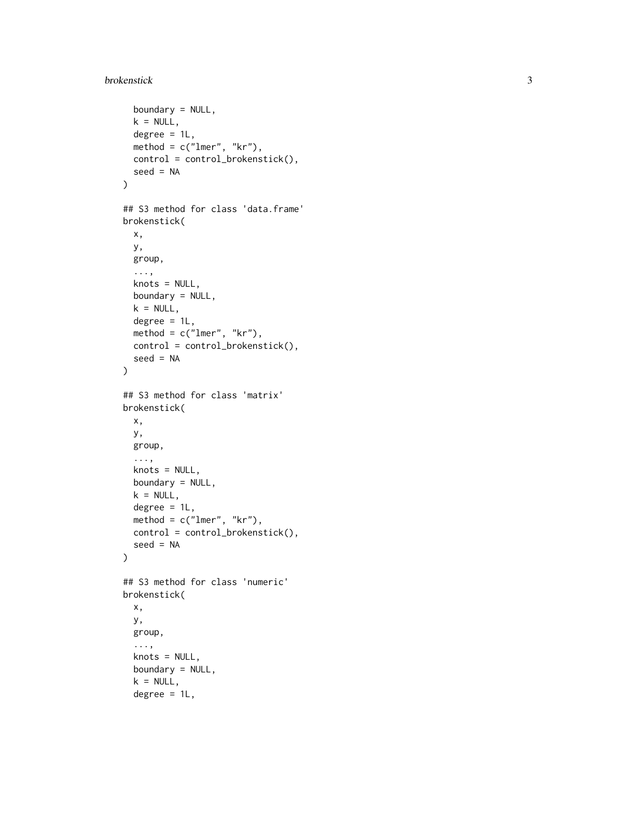# brokenstick

```
boundary = NULL,
  k = NULL,degree = 1L,
 method = c("lmer", "kr"),
 control = control_brokenstick(),
  seed = NA
\mathcal{L}## S3 method for class 'data.frame'
brokenstick(
 x,
 y,
 group,
  ...,
 knots = NULL,
 boundary = NULL,
 k = NULL,degree = 1L,
 method = c("lmer", "kr"),
 control = control_brokenstick(),
  seed = NA
\mathcal{L}## S3 method for class 'matrix'
brokenstick(
 x,
 y,
 group,
  ...,
 knots = NULL,
 boundary = NULL,
 k = NULL,degree = 1L,
 method = c("lmer", "kr"),
 control = control_brokenstick(),
  seed = NA\lambda## S3 method for class 'numeric'
brokenstick(
 x,
 y,
 group,
  ...,
 knots = NULL,
 boundary = NULL,
  k = NULL,degree = 1L,
```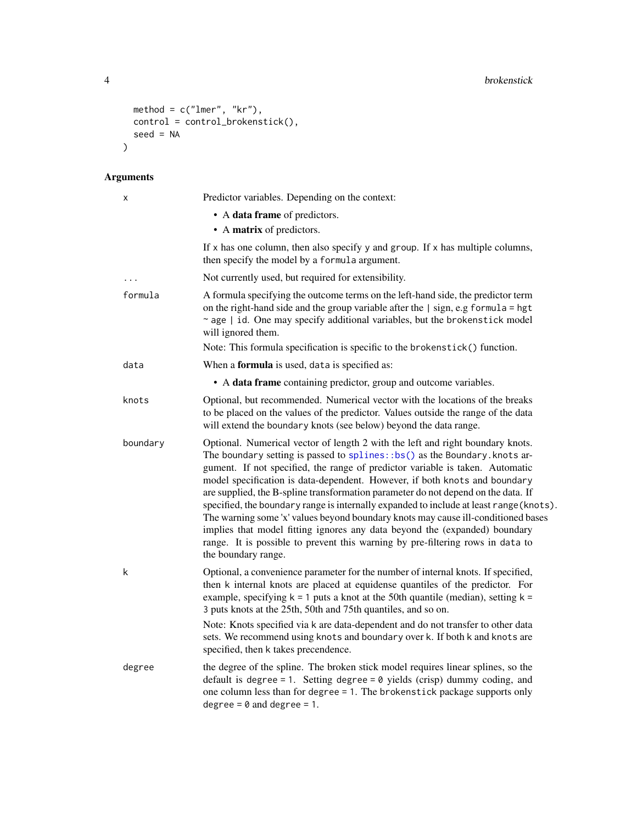```
\mathsf{method} = \mathsf{c("lmer", "kr"),}control = control_brokenstick(),
  seed = NA
\mathcal{L}
```

| Χ        | Predictor variables. Depending on the context:                                                                                                                                                                                                                                                                                                                                                                                                                                                                                                                                                                                                                                                                                                                                            |
|----------|-------------------------------------------------------------------------------------------------------------------------------------------------------------------------------------------------------------------------------------------------------------------------------------------------------------------------------------------------------------------------------------------------------------------------------------------------------------------------------------------------------------------------------------------------------------------------------------------------------------------------------------------------------------------------------------------------------------------------------------------------------------------------------------------|
|          | • A data frame of predictors.                                                                                                                                                                                                                                                                                                                                                                                                                                                                                                                                                                                                                                                                                                                                                             |
|          | • A matrix of predictors.                                                                                                                                                                                                                                                                                                                                                                                                                                                                                                                                                                                                                                                                                                                                                                 |
|          | If $x$ has one column, then also specify $y$ and group. If $x$ has multiple columns,<br>then specify the model by a formula argument.                                                                                                                                                                                                                                                                                                                                                                                                                                                                                                                                                                                                                                                     |
|          | Not currently used, but required for extensibility.                                                                                                                                                                                                                                                                                                                                                                                                                                                                                                                                                                                                                                                                                                                                       |
| formula  | A formula specifying the outcome terms on the left-hand side, the predictor term<br>on the right-hand side and the group variable after the $\vert$ sign, e.g formula = hgt<br>~ age   id. One may specify additional variables, but the brokenstick model<br>will ignored them.                                                                                                                                                                                                                                                                                                                                                                                                                                                                                                          |
|          | Note: This formula specification is specific to the brokenstick() function.                                                                                                                                                                                                                                                                                                                                                                                                                                                                                                                                                                                                                                                                                                               |
| data     | When a formula is used, data is specified as:                                                                                                                                                                                                                                                                                                                                                                                                                                                                                                                                                                                                                                                                                                                                             |
|          | • A data frame containing predictor, group and outcome variables.                                                                                                                                                                                                                                                                                                                                                                                                                                                                                                                                                                                                                                                                                                                         |
| knots    | Optional, but recommended. Numerical vector with the locations of the breaks<br>to be placed on the values of the predictor. Values outside the range of the data<br>will extend the boundary knots (see below) beyond the data range.                                                                                                                                                                                                                                                                                                                                                                                                                                                                                                                                                    |
| boundary | Optional. Numerical vector of length 2 with the left and right boundary knots.<br>The boundary setting is passed to splines: : bs() as the Boundary. knots ar-<br>gument. If not specified, the range of predictor variable is taken. Automatic<br>model specification is data-dependent. However, if both knots and boundary<br>are supplied, the B-spline transformation parameter do not depend on the data. If<br>specified, the boundary range is internally expanded to include at least range (knots).<br>The warning some 'x' values beyond boundary knots may cause ill-conditioned bases<br>implies that model fitting ignores any data beyond the (expanded) boundary<br>range. It is possible to prevent this warning by pre-filtering rows in data to<br>the boundary range. |
| k        | Optional, a convenience parameter for the number of internal knots. If specified,<br>then k internal knots are placed at equidense quantiles of the predictor. For<br>example, specifying $k = 1$ puts a knot at the 50th quantile (median), setting $k =$<br>3 puts knots at the 25th, 50th and 75th quantiles, and so on.<br>Note: Knots specified via k are data-dependent and do not transfer to other data                                                                                                                                                                                                                                                                                                                                                                           |
|          | sets. We recommend using knots and boundary over k. If both k and knots are<br>specified, then k takes precendence.                                                                                                                                                                                                                                                                                                                                                                                                                                                                                                                                                                                                                                                                       |
| degree   | the degree of the spline. The broken stick model requires linear splines, so the<br>default is degree = 1. Setting degree = $\theta$ yields (crisp) dummy coding, and<br>one column less than for degree = 1. The brokenstick package supports only<br>degree = $\theta$ and degree = 1.                                                                                                                                                                                                                                                                                                                                                                                                                                                                                                  |

<span id="page-3-0"></span>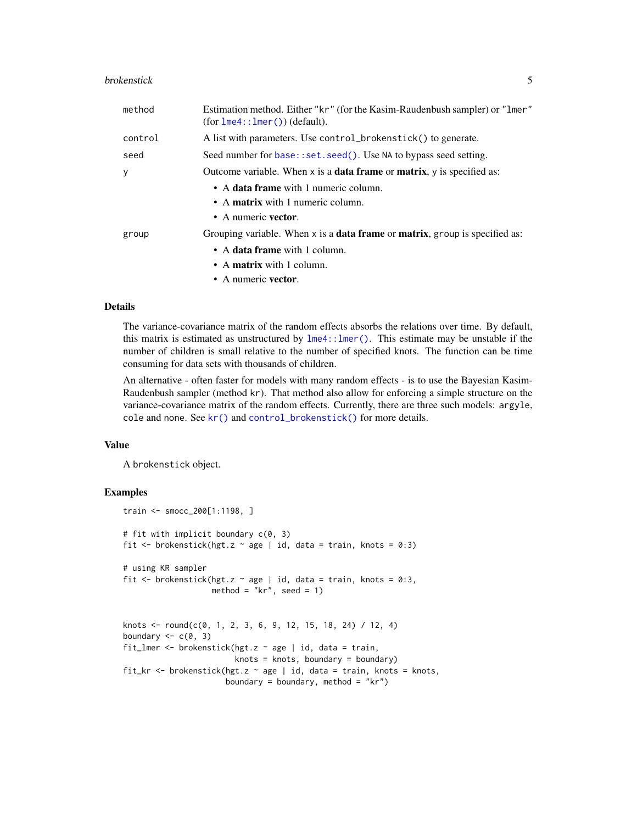#### <span id="page-4-0"></span>brokenstick 5

| method  | Estimation method. Either "kr" (for the Kasim-Raudenbush sampler) or "1mer"<br>$(for \text{1me4}: \text{1mer}()$ (default).                                                       |
|---------|-----------------------------------------------------------------------------------------------------------------------------------------------------------------------------------|
| control | A list with parameters. Use control_brokenstick() to generate.                                                                                                                    |
| seed    | Seed number for base::set.seed(). Use NA to bypass seed setting.                                                                                                                  |
| y       | Outcome variable. When $x$ is a <b>data frame</b> or <b>matrix</b> , $y$ is specified as:                                                                                         |
|         | • A data frame with 1 numeric column.<br>• A matrix with 1 numeric column.<br>• A numeric vector.                                                                                 |
| group   | Grouping variable. When $x$ is a <b>data frame</b> or <b>matrix</b> , group is specified as:<br>• A data frame with 1 column.<br>• A matrix with 1 column.<br>• A numeric vector. |

#### Details

The variance-covariance matrix of the random effects absorbs the relations over time. By default, this matrix is estimated as unstructured by [lme4::lmer\(\)](#page-0-0). This estimate may be unstable if the number of children is small relative to the number of specified knots. The function can be time consuming for data sets with thousands of children.

An alternative - often faster for models with many random effects - is to use the Bayesian Kasim-Raudenbush sampler (method kr). That method also allow for enforcing a simple structure on the variance-covariance matrix of the random effects. Currently, there are three such models: argyle, cole and none. See [kr\(\)](#page-12-1) and [control\\_brokenstick\(\)](#page-7-1) for more details.

#### Value

A brokenstick object.

# Examples

```
train <- smocc_200[1:1198, ]
# fit with implicit boundary c(0, 3)
fit \le brokenstick(hgt.z \sim age | id, data = train, knots = 0:3)
# using KR sampler
fit \le brokenstick(hgt.z \sim age | id, data = train, knots = 0:3,
                   method = "kr", seed = 1)
knots <- round(c(0, 1, 2, 3, 6, 9, 12, 15, 18, 24) / 12, 4)
boundary \leq -c(0, 3)fit_lmer <- brokenstick(hgt.z \sim age | id, data = train,
                        knots = knots, boundary = boundary)
```
fit\_kr <- brokenstick(hgt.z ~ age | id, data = train, knots = knots, boundary = boundary, method = " $kr$ ")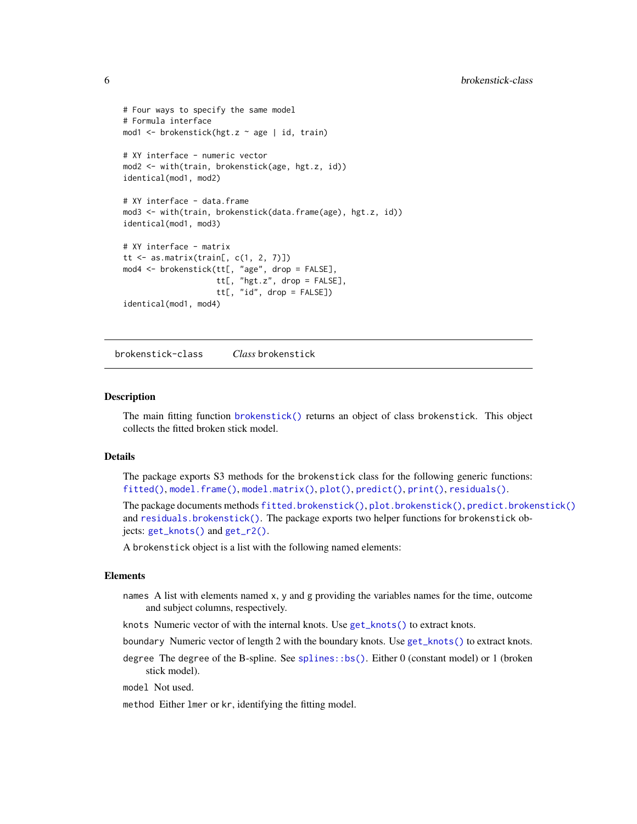```
# Four ways to specify the same model
# Formula interface
mod1 <- brokenstick(hgt.z ~ age | id, train)
# XY interface - numeric vector
mod2 <- with(train, brokenstick(age, hgt.z, id))
identical(mod1, mod2)
# XY interface - data.frame
mod3 <- with(train, brokenstick(data.frame(age), hgt.z, id))
identical(mod1, mod3)
# XY interface - matrix
tt \leq as.matrix(train[, c(1, 2, 7)])
mod4 <- brokenstick(tt[, "age", drop = FALSE],
                    tt[, "hgt.z", drop = FALSE],
                    tt[, "id", drop = FALSE])
identical(mod1, mod4)
```
<span id="page-5-1"></span>brokenstick-class *Class* brokenstick

#### Description

The main fitting function [brokenstick\(\)](#page-1-1) returns an object of class brokenstick. This object collects the fitted broken stick model.

#### Details

The package exports S3 methods for the brokenstick class for the following generic functions: [fitted\(\)](#page-0-0), [model.frame\(\)](#page-0-0), [model.matrix\(\)](#page-0-0), [plot\(\)](#page-0-0), [predict\(\)](#page-0-0), [print\(\)](#page-0-0), [residuals\(\)](#page-0-0).

The package documents methods [fitted.brokenstick\(\)](#page-10-1), [plot.brokenstick\(\)](#page-15-1), [predict.brokenstick\(\)](#page-18-1) and [residuals.brokenstick\(\)](#page-20-1). The package exports two helper functions for brokenstick objects: [get\\_knots\(\)](#page-11-1) and [get\\_r2\(\)](#page-11-2).

A brokenstick object is a list with the following named elements:

#### Elements

names A list with elements named x, y and g providing the variables names for the time, outcome and subject columns, respectively.

knots Numeric vector of with the internal knots. Use [get\\_knots\(\)](#page-11-1) to extract knots.

boundary Numeric vector of length 2 with the boundary knots. Use [get\\_knots\(\)](#page-11-1) to extract knots.

degree The degree of the B-spline. See [splines::bs\(\)](#page-0-0). Either 0 (constant model) or 1 (broken stick model).

model Not used.

method Either lmer or kr, identifying the fitting model.

<span id="page-5-0"></span>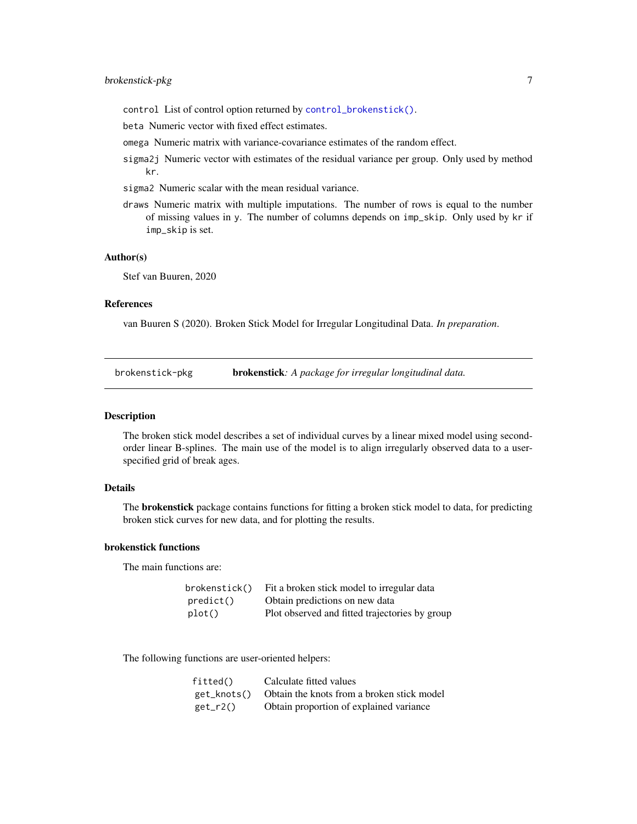- <span id="page-6-0"></span>control List of control option returned by [control\\_brokenstick\(\)](#page-7-1).
- beta Numeric vector with fixed effect estimates.
- omega Numeric matrix with variance-covariance estimates of the random effect.
- sigma2j Numeric vector with estimates of the residual variance per group. Only used by method kr.
- sigma2 Numeric scalar with the mean residual variance.
- draws Numeric matrix with multiple imputations. The number of rows is equal to the number of missing values in y. The number of columns depends on imp\_skip. Only used by kr if imp\_skip is set.

#### Author(s)

Stef van Buuren, 2020

#### References

van Buuren S (2020). Broken Stick Model for Irregular Longitudinal Data. *In preparation*.

brokenstick-pkg brokenstick*: A package for irregular longitudinal data.*

#### Description

The broken stick model describes a set of individual curves by a linear mixed model using secondorder linear B-splines. The main use of the model is to align irregularly observed data to a userspecified grid of break ages.

#### Details

The **brokenstick** package contains functions for fitting a broken stick model to data, for predicting broken stick curves for new data, and for plotting the results.

#### brokenstick functions

The main functions are:

| brokenstick() | Fit a broken stick model to irregular data     |
|---------------|------------------------------------------------|
| predict()     | Obtain predictions on new data                 |
| plot()        | Plot observed and fitted trajectories by group |

The following functions are user-oriented helpers:

| fitted()    | Calculate fitted values                    |
|-------------|--------------------------------------------|
| get_knots() | Obtain the knots from a broken stick model |
| get_r2()    | Obtain proportion of explained variance    |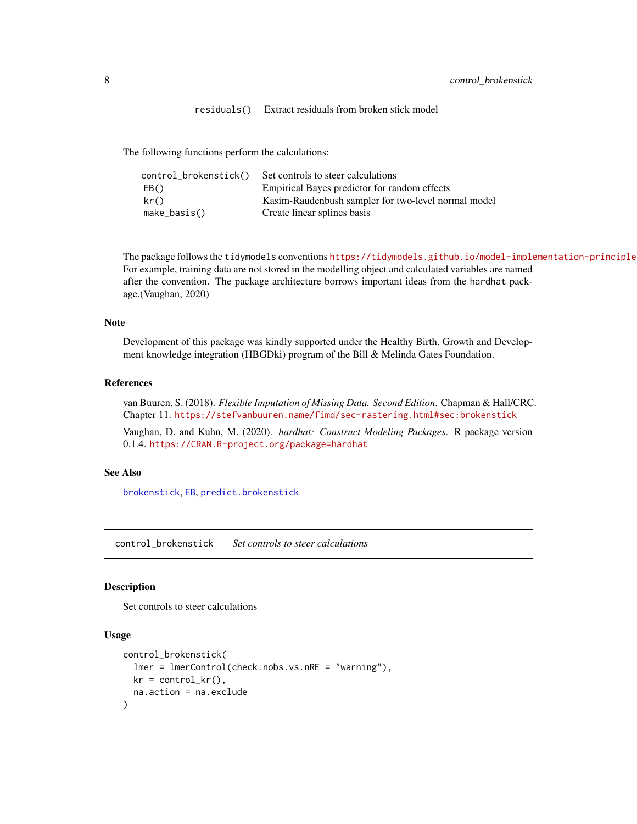residuals() Extract residuals from broken stick model

<span id="page-7-0"></span>The following functions perform the calculations:

| control_brokenstick() | Set controls to steer calculations                  |
|-----------------------|-----------------------------------------------------|
| EB()                  | Empirical Bayes predictor for random effects        |
| kr()                  | Kasim-Raudenbush sampler for two-level normal model |
| make_basis()          | Create linear splines basis                         |

The package follows the tidymodels conventions https://tidymodels.github.io/model-implementation-principle For example, training data are not stored in the modelling object and calculated variables are named after the convention. The package architecture borrows important ideas from the hardhat package.(Vaughan, 2020)

#### Note

Development of this package was kindly supported under the Healthy Birth, Growth and Development knowledge integration (HBGDki) program of the Bill & Melinda Gates Foundation.

# References

van Buuren, S. (2018). *Flexible Imputation of Missing Data. Second Edition*. Chapman & Hall/CRC. Chapter 11. <https://stefvanbuuren.name/fimd/sec-rastering.html#sec:brokenstick>

Vaughan, D. and Kuhn, M. (2020). *hardhat: Construct Modeling Packages*. R package version 0.1.4. <https://CRAN.R-project.org/package=hardhat>

# See Also

[brokenstick](#page-1-1), [EB](#page-9-1), [predict.brokenstick](#page-18-1)

<span id="page-7-1"></span>control\_brokenstick *Set controls to steer calculations*

#### Description

Set controls to steer calculations

# Usage

```
control_brokenstick(
  lmer = lmerControl(check.nobs.vs.nRE = "warning"),
 kr = control_kr(),
  na.action = na.exclude
)
```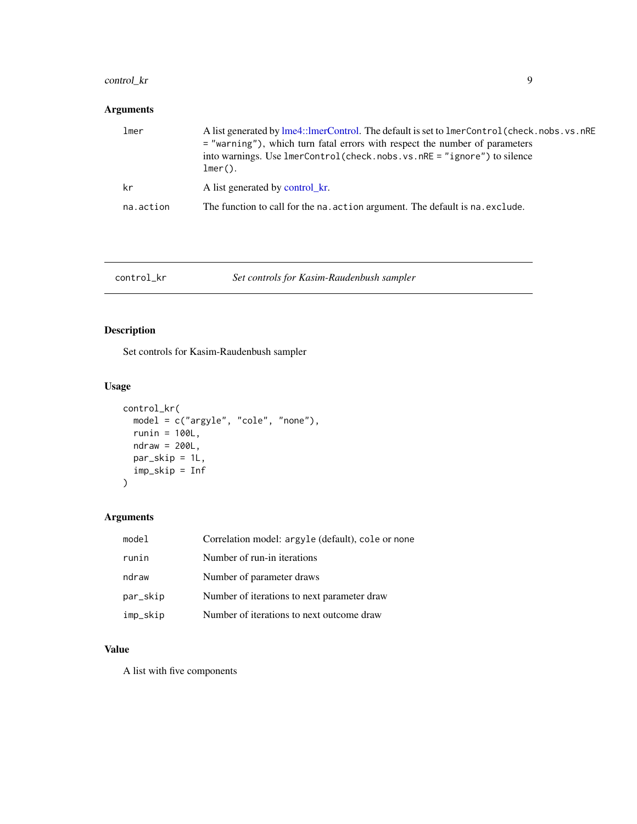# <span id="page-8-0"></span>control\_kr 9

# Arguments

| lmer      | A list generated by lme4::lmerControl. The default is set to lmerControl (check.nobs.vs.nRE)<br>= "warning"), which turn fatal errors with respect the number of parameters<br>into warnings. Use $lmerControl(check.nobs.vs.nRE = "ignore")$ to silence<br>$lmer()$ . |
|-----------|------------------------------------------------------------------------------------------------------------------------------------------------------------------------------------------------------------------------------------------------------------------------|
| kr        | A list generated by control_kr.                                                                                                                                                                                                                                        |
| na.action | The function to call for the na. action argument. The default is na. exclude.                                                                                                                                                                                          |

# <span id="page-8-1"></span>control\_kr *Set controls for Kasim-Raudenbush sampler*

# Description

Set controls for Kasim-Raudenbush sampler

# Usage

```
control_kr(
 model = c("argyle", "cole", "none"),
 runin = 100L,
 ndraw = 200L,
 par_skip = 1L,
 imp_skip = Inf
)
```
# Arguments

| model    | Correlation model: argyle (default), cole or none |
|----------|---------------------------------------------------|
| runin    | Number of run-in iterations                       |
| ndraw    | Number of parameter draws                         |
| par_skip | Number of iterations to next parameter draw       |
| imp_skip | Number of iterations to next outcome draw         |

# Value

A list with five components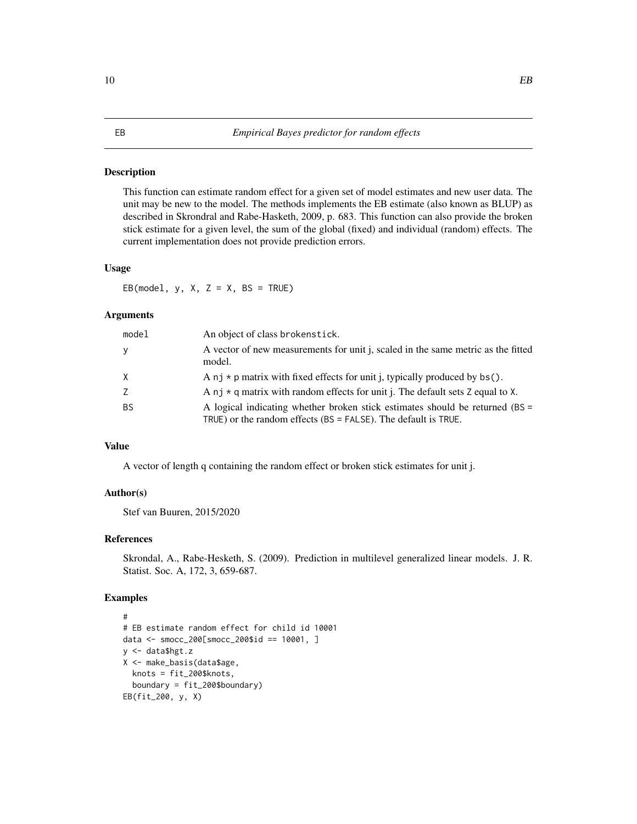#### Description

This function can estimate random effect for a given set of model estimates and new user data. The unit may be new to the model. The methods implements the EB estimate (also known as BLUP) as described in Skrondral and Rabe-Hasketh, 2009, p. 683. This function can also provide the broken stick estimate for a given level, the sum of the global (fixed) and individual (random) effects. The current implementation does not provide prediction errors.

#### Usage

EB(model,  $y$ ,  $X$ ,  $Z = X$ ,  $BS = TRUE$ )

# Arguments

| mode1     | An object of class brokenstick.                                                                                                                   |
|-----------|---------------------------------------------------------------------------------------------------------------------------------------------------|
| <b>y</b>  | A vector of new measurements for unit j, scaled in the same metric as the fitted<br>model.                                                        |
| X         | A nj $*$ p matrix with fixed effects for unit j, typically produced by bs().                                                                      |
| Z         | A nj $\star$ q matrix with random effects for unit j. The default sets Z equal to X.                                                              |
| <b>BS</b> | A logical indicating whether broken stick estimates should be returned (BS =<br>TRUE) or the random effects $(BS = FALSE)$ . The default is TRUE. |

# Value

A vector of length q containing the random effect or broken stick estimates for unit j.

# Author(s)

Stef van Buuren, 2015/2020

# References

Skrondal, A., Rabe-Hesketh, S. (2009). Prediction in multilevel generalized linear models. J. R. Statist. Soc. A, 172, 3, 659-687.

#### Examples

```
#
# EB estimate random effect for child id 10001
data <- smocc_200[smocc_200$id == 10001, ]
y <- data$hgt.z
X <- make_basis(data$age,
  knots = fit_200$knots,
  boundary = fit_200$boundary)
EB(fit_200, y, X)
```
#### <span id="page-9-1"></span><span id="page-9-0"></span>10 BB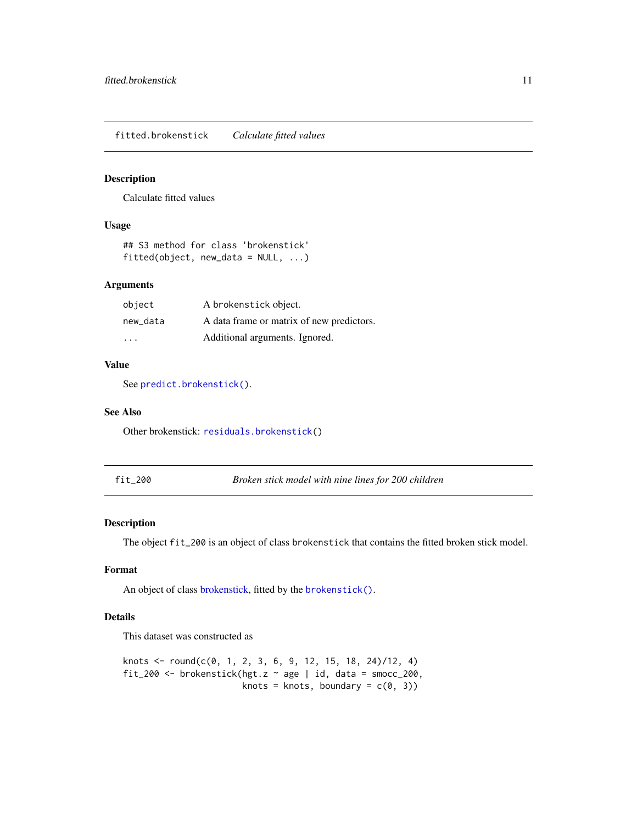<span id="page-10-1"></span><span id="page-10-0"></span>fitted.brokenstick *Calculate fitted values*

# Description

Calculate fitted values

#### Usage

```
## S3 method for class 'brokenstick'
fitted(object, new_data = NULL, ...)
```
# Arguments

| object   | A brokenstick object.                     |
|----------|-------------------------------------------|
| new data | A data frame or matrix of new predictors. |
| .        | Additional arguments. Ignored.            |

# Value

See [predict.brokenstick\(\)](#page-18-1).

## See Also

Other brokenstick: [residuals.brokenstick\(](#page-20-1))

fit\_200 *Broken stick model with nine lines for 200 children*

# Description

The object fit\_200 is an object of class brokenstick that contains the fitted broken stick model.

# Format

An object of class [brokenstick,](#page-5-1) fitted by the [brokenstick\(\)](#page-1-1).

# Details

This dataset was constructed as

```
knots <- round(c(0, 1, 2, 3, 6, 9, 12, 15, 18, 24)/12, 4)
fit_200 <- brokenstick(hgt.z \sim age | id, data = smocc_200,
                        knots = knots, boundary = c(\theta, 3))
```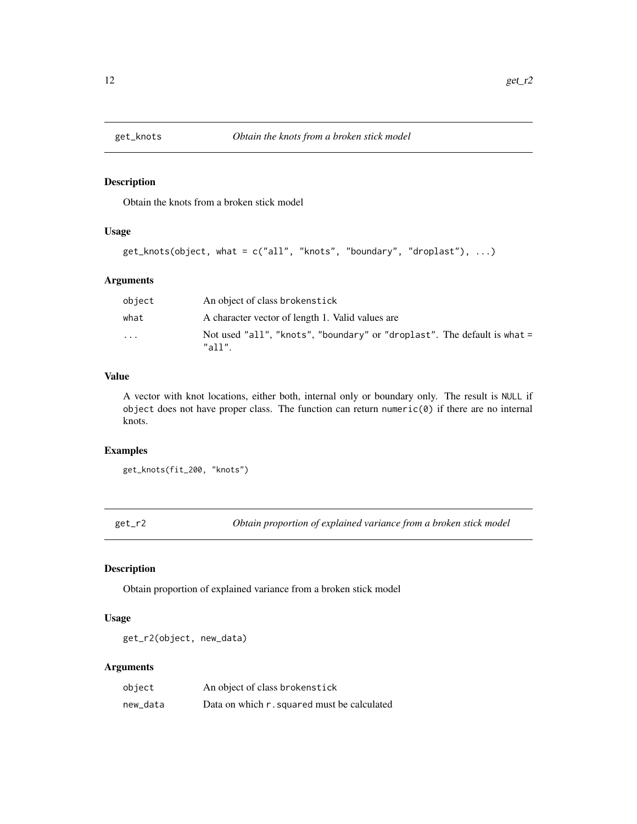<span id="page-11-1"></span><span id="page-11-0"></span>

# Description

Obtain the knots from a broken stick model

## Usage

```
get_knots(object, what = c("all", "knots", "boundary", "droplast"), ...)
```
# Arguments

| object | An object of class brokenstick                                                     |
|--------|------------------------------------------------------------------------------------|
| what   | A character vector of length 1. Valid values are                                   |
| .      | Not used "all", "knots", "boundary" or "droplast". The default is what =<br>"all". |

# Value

A vector with knot locations, either both, internal only or boundary only. The result is NULL if object does not have proper class. The function can return numeric $(0)$  if there are no internal knots.

#### Examples

```
get_knots(fit_200, "knots")
```
<span id="page-11-2"></span>get\_r2 *Obtain proportion of explained variance from a broken stick model*

# Description

Obtain proportion of explained variance from a broken stick model

# Usage

get\_r2(object, new\_data)

| object   | An object of class brokenstick              |
|----------|---------------------------------------------|
| new_data | Data on which r. squared must be calculated |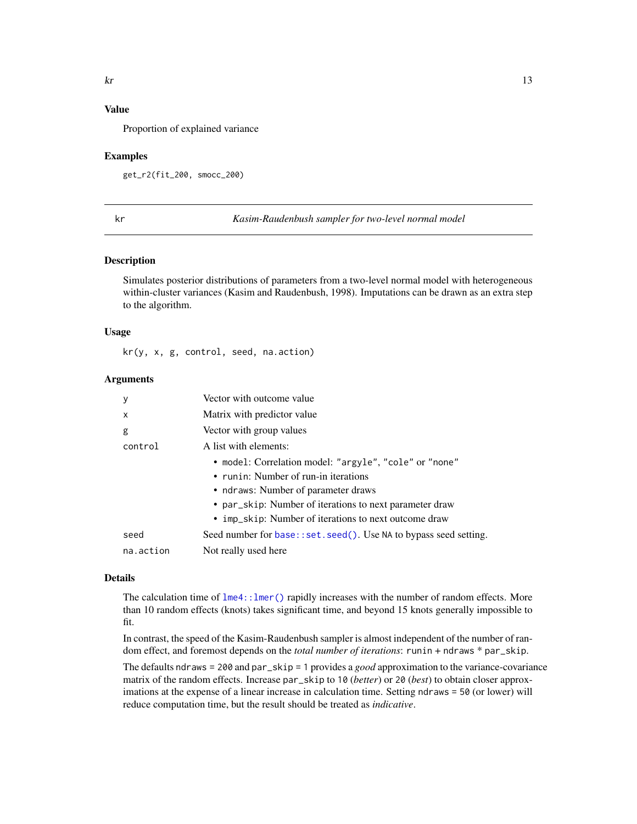# <span id="page-12-0"></span>Value

Proportion of explained variance

#### Examples

get\_r2(fit\_200, smocc\_200)

<span id="page-12-1"></span>

kr *Kasim-Raudenbush sampler for two-level normal model*

#### Description

Simulates posterior distributions of parameters from a two-level normal model with heterogeneous within-cluster variances (Kasim and Raudenbush, 1998). Imputations can be drawn as an extra step to the algorithm.

#### Usage

kr(y, x, g, control, seed, na.action)

#### Arguments

| <sub>V</sub> | Vector with outcome value                                        |
|--------------|------------------------------------------------------------------|
| X            | Matrix with predictor value                                      |
| g            | Vector with group values                                         |
| control      | A list with elements:                                            |
|              | • model: Correlation model: "argyle", "cole" or "none"           |
|              | • runin: Number of run-in iterations                             |
|              | • ndraws: Number of parameter draws                              |
|              | • par_skip: Number of iterations to next parameter draw          |
|              | • imp_skip: Number of iterations to next outcome draw            |
| seed         | Seed number for base::set.seed(). Use NA to bypass seed setting. |
| na.action    | Not really used here                                             |

# Details

The calculation time of  $l$ me4:: $l$ mer() rapidly increases with the number of random effects. More than 10 random effects (knots) takes significant time, and beyond 15 knots generally impossible to fit.

In contrast, the speed of the Kasim-Raudenbush sampler is almost independent of the number of random effect, and foremost depends on the *total number of iterations*: runin + ndraws \* par\_skip.

The defaults ndraws = 200 and par\_skip = 1 provides a *good* approximation to the variance-covariance matrix of the random effects. Increase par\_skip to 10 (*better*) or 20 (*best*) to obtain closer approximations at the expense of a linear increase in calculation time. Setting ndraws = 50 (or lower) will reduce computation time, but the result should be treated as *indicative*.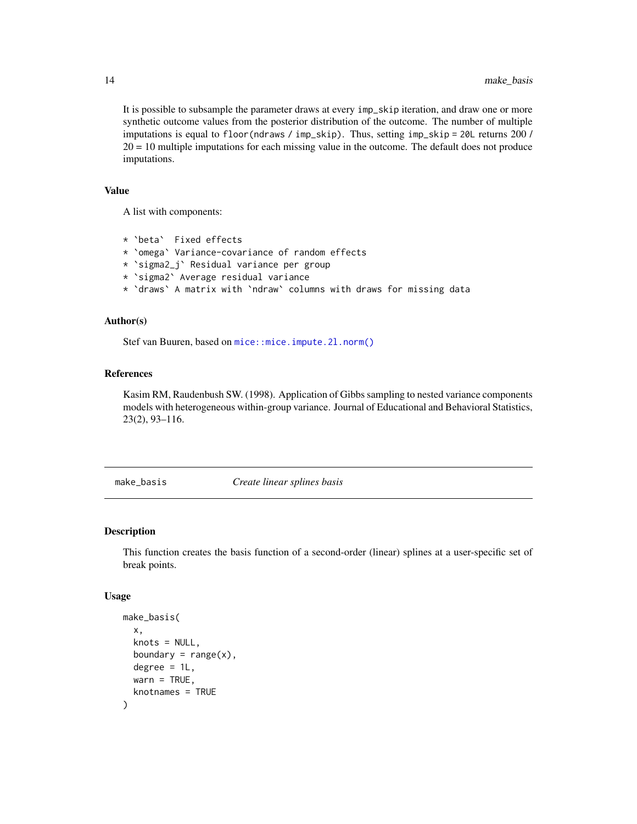It is possible to subsample the parameter draws at every imp\_skip iteration, and draw one or more synthetic outcome values from the posterior distribution of the outcome. The number of multiple imputations is equal to floor(ndraws / imp\_skip). Thus, setting imp\_skip = 20L returns 200 / 20 = 10 multiple imputations for each missing value in the outcome. The default does not produce imputations.

# Value

A list with components:

```
* `beta` Fixed effects
* `omega` Variance-covariance of random effects
* `sigma2_j` Residual variance per group
* `sigma2` Average residual variance
* `draws` A matrix with `ndraw` columns with draws for missing data
```
## Author(s)

Stef van Buuren, based on [mice::mice.impute.2l.norm\(\)](#page-0-0)

#### References

Kasim RM, Raudenbush SW. (1998). Application of Gibbs sampling to nested variance components models with heterogeneous within-group variance. Journal of Educational and Behavioral Statistics, 23(2), 93–116.

make\_basis *Create linear splines basis*

# Description

This function creates the basis function of a second-order (linear) splines at a user-specific set of break points.

#### Usage

```
make_basis(
  x,
  knots = NULL,
 boundary = range(x),
  degree = 1L,
 wan = TRUE,knotnames = TRUE
)
```
<span id="page-13-0"></span>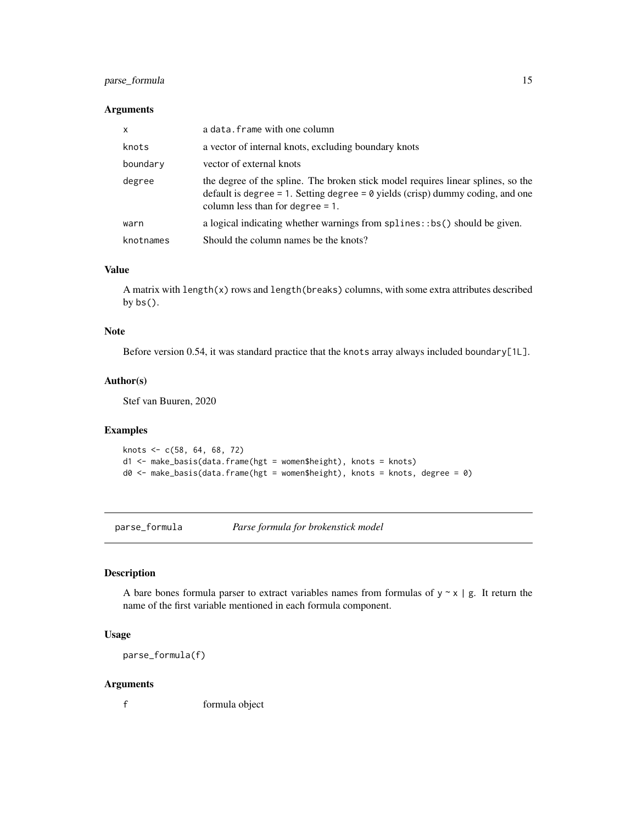# <span id="page-14-0"></span>parse\_formula 15

#### Arguments

| $\mathsf{x}$ | a data. frame with one column                                                                                                                                                                                    |
|--------------|------------------------------------------------------------------------------------------------------------------------------------------------------------------------------------------------------------------|
| knots        | a vector of internal knots, excluding boundary knots                                                                                                                                                             |
| boundary     | vector of external knots                                                                                                                                                                                         |
| degree       | the degree of the spline. The broken stick model requires linear splines, so the<br>default is degree = 1. Setting degree = $\theta$ yields (crisp) dummy coding, and one<br>column less than for degree $= 1$ . |
| warn         | a logical indicating whether warnings from splines: :bs() should be given.                                                                                                                                       |
| knotnames    | Should the column names be the knots?                                                                                                                                                                            |

# Value

A matrix with length(x) rows and length(breaks) columns, with some extra attributes described by bs().

### Note

Before version 0.54, it was standard practice that the knots array always included boundary[1L].

#### Author(s)

Stef van Buuren, 2020

# Examples

```
knots <- c(58, 64, 68, 72)
d1 <- make_basis(data.frame(hgt = women$height), knots = knots)
d0 <- make_basis(data.frame(hgt = women$height), knots = knots, degree = 0)
```
parse\_formula *Parse formula for brokenstick model*

# Description

A bare bones formula parser to extract variables names from formulas of  $y \sim x \mid g$ . It return the name of the first variable mentioned in each formula component.

# Usage

parse\_formula(f)

#### Arguments

f formula object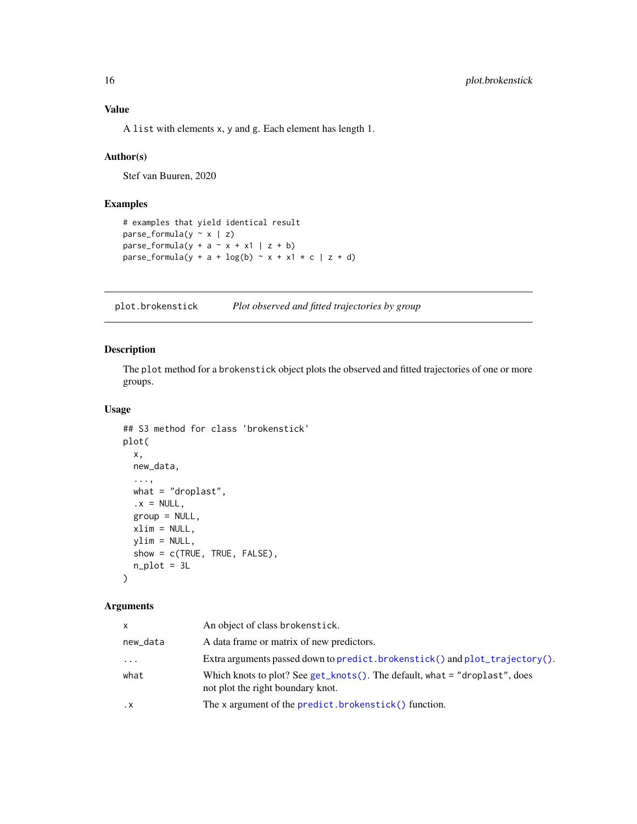# <span id="page-15-0"></span>Value

A list with elements x, y and g. Each element has length 1.

## Author(s)

Stef van Buuren, 2020

# Examples

```
# examples that yield identical result
parse_formula(y \sim x \mid z)parse_formula(y + a \sim x + x1 | z + b)
parse_formula(y + a + log(b) \sim x + x1 \star c | z + d)
```
<span id="page-15-1"></span>plot.brokenstick *Plot observed and fitted trajectories by group*

# Description

The plot method for a brokenstick object plots the observed and fitted trajectories of one or more groups.

#### Usage

```
## S3 method for class 'brokenstick'
plot(
 x,
 new_data,
  ...,
 what = "droplast",.x = NULL,group = NULL,xlim = NULL,ylim = NULL,
 show = c(TRUE, TRUE, FALSE),
 n\_plot = 3L)
```

| x         | An object of class brokenstick.                                                                                   |
|-----------|-------------------------------------------------------------------------------------------------------------------|
| new_data  | A data frame or matrix of new predictors.                                                                         |
| $\cdots$  | Extra arguments passed down to predict.brokenstick() and plot_trajectory().                                       |
| what      | Which knots to plot? See get_knots(). The default, what $=$ "droplast", does<br>not plot the right boundary knot. |
| $\cdot$ X | The x argument of the predict. brokenstick() function.                                                            |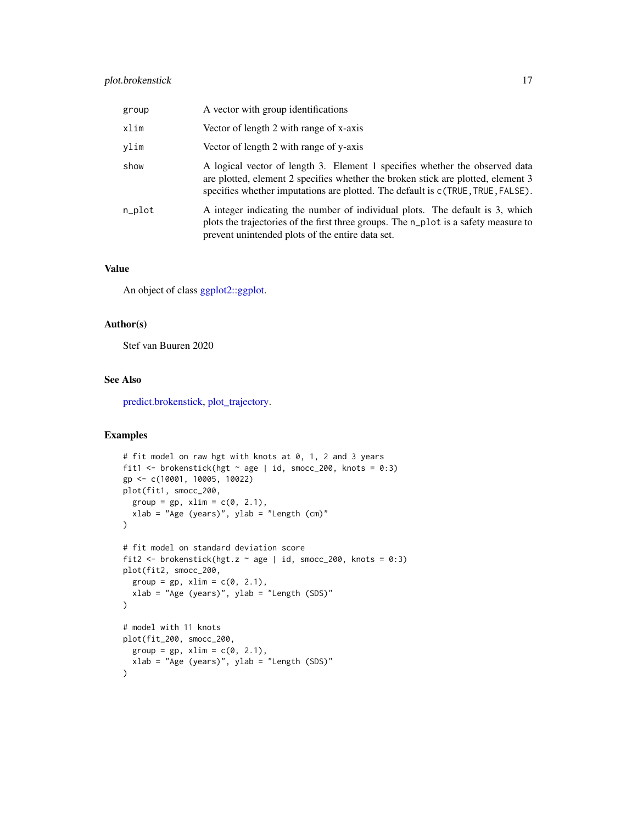# <span id="page-16-0"></span>plot.brokenstick 17

| group  | A vector with group identifications                                                                                                                                                                                                                |
|--------|----------------------------------------------------------------------------------------------------------------------------------------------------------------------------------------------------------------------------------------------------|
| xlim   | Vector of length 2 with range of x-axis                                                                                                                                                                                                            |
| ylim   | Vector of length 2 with range of y-axis                                                                                                                                                                                                            |
| show   | A logical vector of length 3. Element 1 specifies whether the observed data<br>are plotted, element 2 specifies whether the broken stick are plotted, element 3<br>specifies whether imputations are plotted. The default is c(TRUE, TRUE, FALSE). |
| n_plot | A integer indicating the number of individual plots. The default is 3, which<br>plots the trajectories of the first three groups. The n_plot is a safety measure to<br>prevent unintended plots of the entire data set.                            |

#### Value

An object of class [ggplot2::ggplot.](#page-0-0)

#### Author(s)

Stef van Buuren 2020

# See Also

[predict.brokenstick,](#page-18-1) [plot\\_trajectory.](#page-17-1)

# Examples

```
# fit model on raw hgt with knots at 0, 1, 2 and 3 years
fit1 <- brokenstick(hgt \sim age | id, smocc_200, knots = 0:3)
gp <- c(10001, 10005, 10022)
plot(fit1, smocc_200,
  group = gp, xlim = c(0, 2.1),xlab = "Age (years)", ylab = "Length (cm)"
\lambda# fit model on standard deviation score
fit2 <- brokenstick(hgt.z \sim age | id, smocc_200, knots = 0:3)
plot(fit2, smocc_200,
  group = gp, xlim = c(0, 2.1),xlab = "Age (years)", ylab = "Length (SDS)"
)
# model with 11 knots
plot(fit_200, smocc_200,
 group = gp, xlim = c(0, 2.1),
 xlab = "Age (years)", ylab = "Length (SDS)"
\lambda
```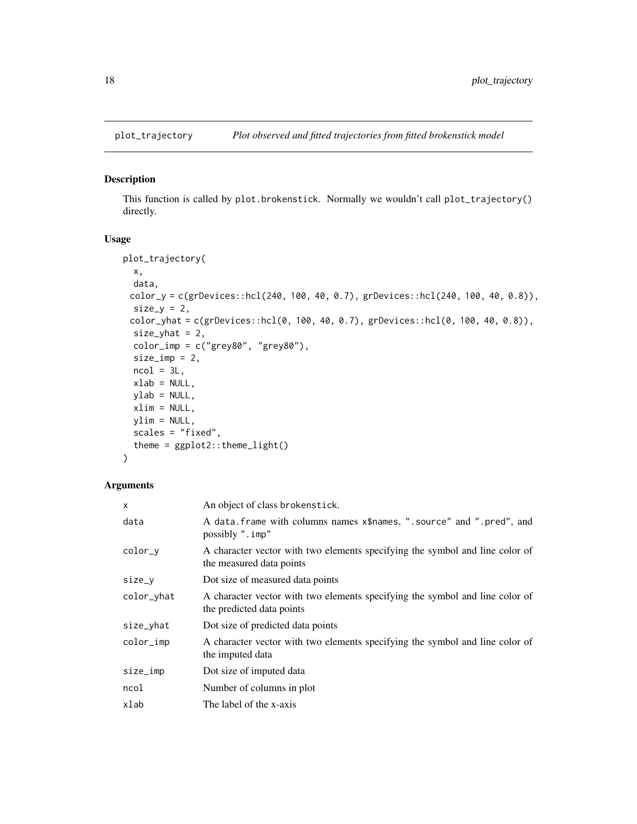<span id="page-17-1"></span><span id="page-17-0"></span>

### Description

This function is called by plot.brokenstick. Normally we wouldn't call plot\_trajectory() directly.

# Usage

```
plot_trajectory(
 x,
 data,
 color_y = c(grDevices::hcl(240, 100, 40, 0.7), grDevices::hcl(240, 100, 40, 0.8)),
 size_y = 2,
 color_yhat = c(grDevices::hcl(0, 100, 40, 0.7), grDevices::hcl(0, 100, 40, 0.8)),
 size\_yhat = 2,
 color\_imp = c("grey80", "grey80"),size\_imp = 2,
 ncol = 3L,
 xlab = NULL,
 ylab = NULL,
 xlim = NULL,
 ylim = NULL,
 scales = "fixed",
  theme = ggplot2::theme_light()
)
```

| X          | An object of class brokenstick.                                                                           |
|------------|-----------------------------------------------------------------------------------------------------------|
| data       | A data. frame with columns names x\$names, ". source" and ". pred", and<br>possibly ". imp"               |
| color_y    | A character vector with two elements specifying the symbol and line color of<br>the measured data points  |
| size_y     | Dot size of measured data points                                                                          |
| color_yhat | A character vector with two elements specifying the symbol and line color of<br>the predicted data points |
| size_yhat  | Dot size of predicted data points                                                                         |
| color_imp  | A character vector with two elements specifying the symbol and line color of<br>the imputed data          |
| size_imp   | Dot size of imputed data                                                                                  |
| ncol       | Number of columns in plot                                                                                 |
| xlab       | The label of the x-axis                                                                                   |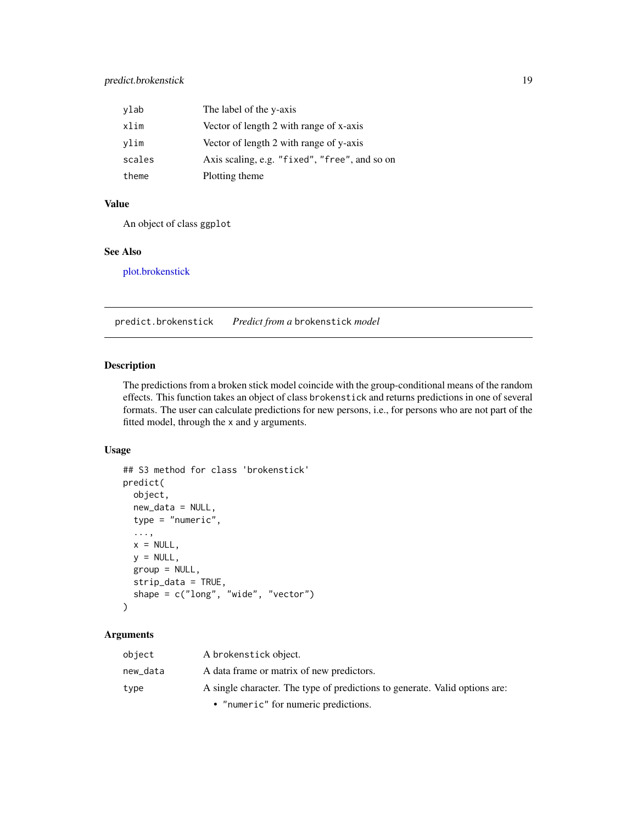<span id="page-18-0"></span>

| ylab   | The label of the y-axis                       |
|--------|-----------------------------------------------|
| xlim   | Vector of length 2 with range of x-axis       |
| vlim   | Vector of length 2 with range of y-axis       |
| scales | Axis scaling, e.g. "fixed", "free", and so on |
| theme  | Plotting theme                                |

# Value

An object of class ggplot

# See Also

[plot.brokenstick](#page-15-1)

<span id="page-18-1"></span>predict.brokenstick *Predict from a* brokenstick *model*

# Description

The predictions from a broken stick model coincide with the group-conditional means of the random effects. This function takes an object of class brokenstick and returns predictions in one of several formats. The user can calculate predictions for new persons, i.e., for persons who are not part of the fitted model, through the x and y arguments.

# Usage

```
## S3 method for class 'brokenstick'
predict(
 object,
  new_data = NULL,
  type = "numeric",
  ...,
 x = NULL,y = NULL,group = NULL,
  strip_data = TRUE,
  shape = c("long", "wide", "vector")
\mathcal{L}
```

| object   | A brokenstick object.                                                       |
|----------|-----------------------------------------------------------------------------|
| new data | A data frame or matrix of new predictors.                                   |
| type     | A single character. The type of predictions to generate. Valid options are: |
|          | • "numeric" for numeric predictions.                                        |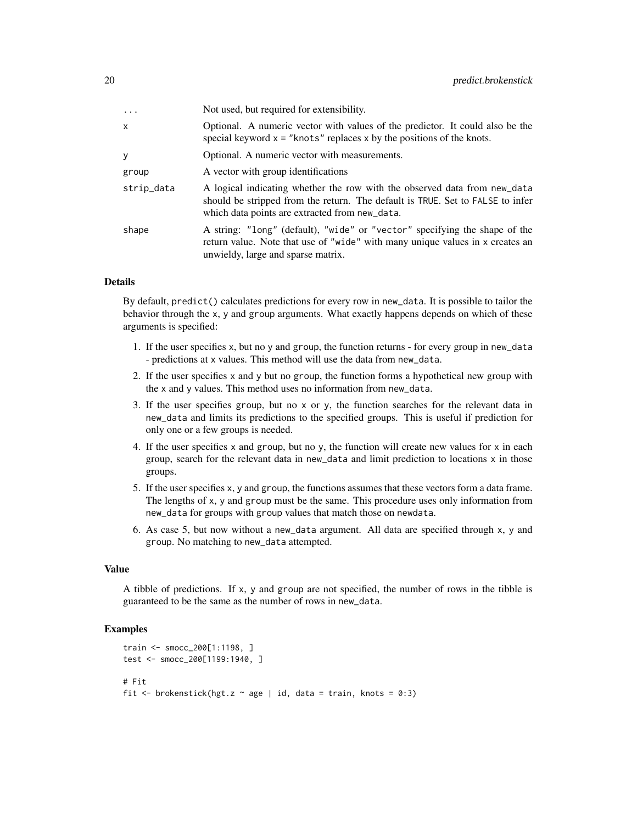| $\cdot$    | Not used, but required for extensibility.                                                                                                                                                                     |
|------------|---------------------------------------------------------------------------------------------------------------------------------------------------------------------------------------------------------------|
| X          | Optional. A numeric vector with values of the predictor. It could also be the<br>special keyword $x =$ "knots" replaces x by the positions of the knots.                                                      |
| y          | Optional. A numeric vector with measurements.                                                                                                                                                                 |
| group      | A vector with group identifications                                                                                                                                                                           |
| strip_data | A logical indicating whether the row with the observed data from new_data<br>should be stripped from the return. The default is TRUE. Set to FALSE to infer<br>which data points are extracted from new_data. |
| shape      | A string: "long" (default), "wide" or "vector" specifying the shape of the<br>return value. Note that use of "wide" with many unique values in x creates an<br>unwieldy, large and sparse matrix.             |

#### Details

By default, predict() calculates predictions for every row in new\_data. It is possible to tailor the behavior through the x, y and group arguments. What exactly happens depends on which of these arguments is specified:

- 1. If the user specifies x, but no y and group, the function returns for every group in new\_data - predictions at x values. This method will use the data from new\_data.
- 2. If the user specifies  $x$  and  $y$  but no group, the function forms a hypothetical new group with the x and y values. This method uses no information from new\_data.
- 3. If the user specifies group, but no x or y, the function searches for the relevant data in new\_data and limits its predictions to the specified groups. This is useful if prediction for only one or a few groups is needed.
- 4. If the user specifies x and group, but no y, the function will create new values for x in each group, search for the relevant data in new\_data and limit prediction to locations x in those groups.
- 5. If the user specifies x, y and group, the functions assumes that these vectors form a data frame. The lengths of x, y and group must be the same. This procedure uses only information from new\_data for groups with group values that match those on newdata.
- 6. As case 5, but now without a new\_data argument. All data are specified through x, y and group. No matching to new\_data attempted.

#### Value

A tibble of predictions. If x, y and group are not specified, the number of rows in the tibble is guaranteed to be the same as the number of rows in new\_data.

#### Examples

```
train <- smocc_200[1:1198, ]
test <- smocc_200[1199:1940, ]
# Fit
fit \leq brokenstick(hgt.z \sim age | id, data = train, knots = 0:3)
```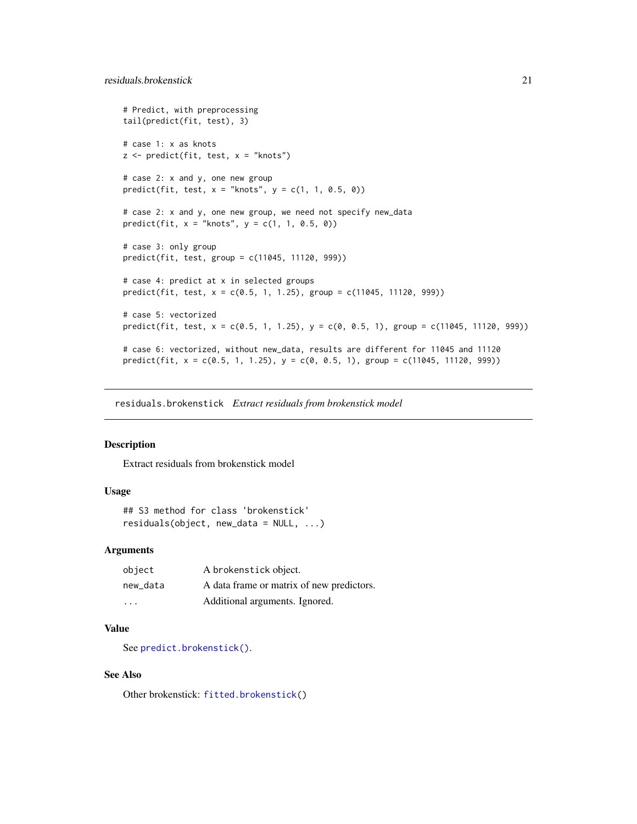```
# Predict, with preprocessing
tail(predict(fit, test), 3)
# case 1: x as knots
z \le predict(fit, test, x = "knots")
# case 2: x and y, one new group
predict(fit, test, x = "knots", y = c(1, 1, 0.5, 0))# case 2: x and y, one new group, we need not specify new_data
predict(fit, x = "knots", y = c(1, 1, 0.5, 0))# case 3: only group
predict(fit, test, group = c(11045, 11120, 999))
# case 4: predict at x in selected groups
predict(fit, test, x = c(0.5, 1, 1.25), group = c(11045, 11120, 999))
# case 5: vectorized
predict(fit, test, x = c(0.5, 1, 1.25), y = c(0, 0.5, 1), group = c(11045, 11120, 999))
# case 6: vectorized, without new_data, results are different for 11045 and 11120
predict(fit, x = c(0.5, 1, 1.25), y = c(0, 0.5, 1), group = c(11045, 11120, 999))
```
<span id="page-20-1"></span>residuals.brokenstick *Extract residuals from brokenstick model*

#### **Description**

Extract residuals from brokenstick model

# Usage

```
## S3 method for class 'brokenstick'
residuals(object, new_data = NULL, ...)
```
### Arguments

| object                  | A brokenstick object.                     |
|-------------------------|-------------------------------------------|
| new data                | A data frame or matrix of new predictors. |
| $\cdot$ $\cdot$ $\cdot$ | Additional arguments. Ignored.            |

### Value

See [predict.brokenstick\(\)](#page-18-1).

#### See Also

Other brokenstick: [fitted.brokenstick\(](#page-10-1))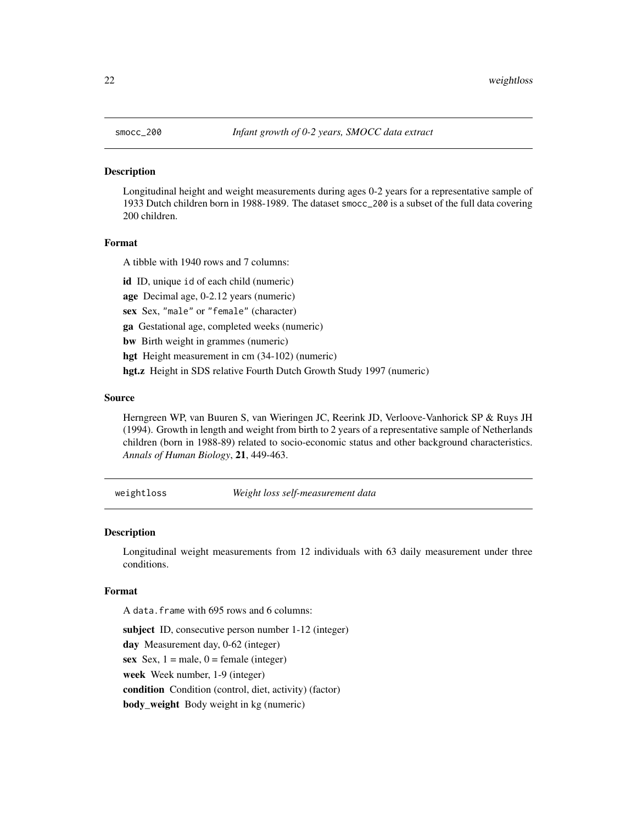# <span id="page-21-0"></span>**Description**

Longitudinal height and weight measurements during ages 0-2 years for a representative sample of 1933 Dutch children born in 1988-1989. The dataset smocc\_200 is a subset of the full data covering 200 children.

#### Format

A tibble with 1940 rows and 7 columns:

id ID, unique id of each child (numeric)

age Decimal age, 0-2.12 years (numeric)

sex Sex, "male" or "female" (character)

ga Gestational age, completed weeks (numeric)

bw Birth weight in grammes (numeric)

hgt Height measurement in cm (34-102) (numeric)

hgt.z Height in SDS relative Fourth Dutch Growth Study 1997 (numeric)

#### Source

Herngreen WP, van Buuren S, van Wieringen JC, Reerink JD, Verloove-Vanhorick SP & Ruys JH (1994). Growth in length and weight from birth to 2 years of a representative sample of Netherlands children (born in 1988-89) related to socio-economic status and other background characteristics. *Annals of Human Biology*, 21, 449-463.

weightloss *Weight loss self-measurement data*

#### Description

Longitudinal weight measurements from 12 individuals with 63 daily measurement under three conditions.

#### Format

A data.frame with 695 rows and 6 columns:

subject ID, consecutive person number 1-12 (integer) day Measurement day, 0-62 (integer) sex Sex,  $1 =$  male,  $0 =$  female (integer) week Week number, 1-9 (integer) condition Condition (control, diet, activity) (factor) body\_weight Body weight in kg (numeric)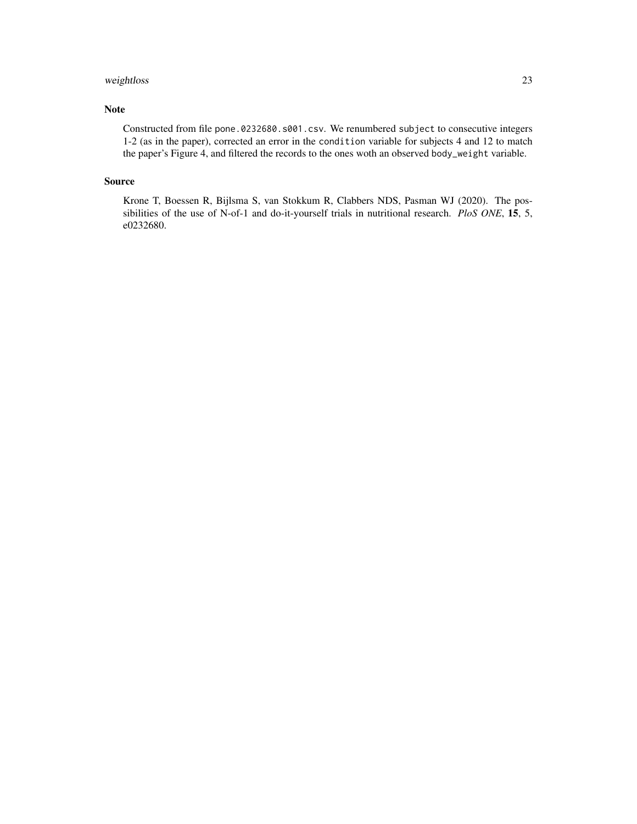# weightloss 23

# Note

Constructed from file pone.0232680.s001.csv. We renumbered subject to consecutive integers 1-2 (as in the paper), corrected an error in the condition variable for subjects 4 and 12 to match the paper's Figure 4, and filtered the records to the ones woth an observed body\_weight variable.

#### Source

Krone T, Boessen R, Bijlsma S, van Stokkum R, Clabbers NDS, Pasman WJ (2020). The possibilities of the use of N-of-1 and do-it-yourself trials in nutritional research. *PloS ONE*, 15, 5, e0232680.